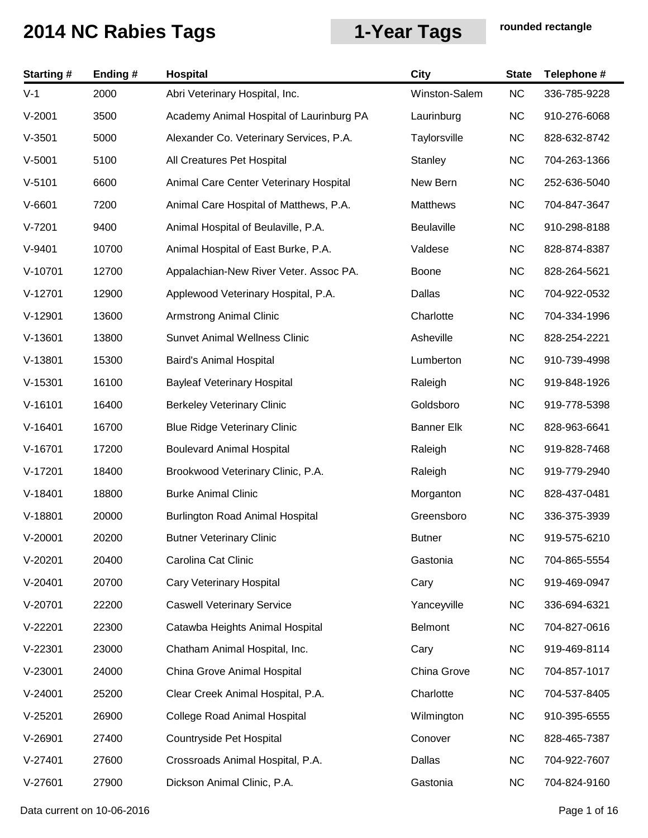| <b>Starting #</b> | Ending# | <b>Hospital</b>                          | <b>City</b>       | <b>State</b> | Telephone #  |
|-------------------|---------|------------------------------------------|-------------------|--------------|--------------|
| $V-1$             | 2000    | Abri Veterinary Hospital, Inc.           | Winston-Salem     | <b>NC</b>    | 336-785-9228 |
| $V-2001$          | 3500    | Academy Animal Hospital of Laurinburg PA | Laurinburg        | <b>NC</b>    | 910-276-6068 |
| $V-3501$          | 5000    | Alexander Co. Veterinary Services, P.A.  | Taylorsville      | <b>NC</b>    | 828-632-8742 |
| $V-5001$          | 5100    | All Creatures Pet Hospital               | Stanley           | <b>NC</b>    | 704-263-1366 |
| $V-5101$          | 6600    | Animal Care Center Veterinary Hospital   | New Bern          | <b>NC</b>    | 252-636-5040 |
| $V-6601$          | 7200    | Animal Care Hospital of Matthews, P.A.   | Matthews          | <b>NC</b>    | 704-847-3647 |
| $V-7201$          | 9400    | Animal Hospital of Beulaville, P.A.      | <b>Beulaville</b> | <b>NC</b>    | 910-298-8188 |
| $V-9401$          | 10700   | Animal Hospital of East Burke, P.A.      | Valdese           | <b>NC</b>    | 828-874-8387 |
| $V-10701$         | 12700   | Appalachian-New River Veter. Assoc PA.   | Boone             | <b>NC</b>    | 828-264-5621 |
| $V-12701$         | 12900   | Applewood Veterinary Hospital, P.A.      | Dallas            | <b>NC</b>    | 704-922-0532 |
| $V-12901$         | 13600   | <b>Armstrong Animal Clinic</b>           | Charlotte         | <b>NC</b>    | 704-334-1996 |
| $V-13601$         | 13800   | <b>Sunvet Animal Wellness Clinic</b>     | Asheville         | <b>NC</b>    | 828-254-2221 |
| $V-13801$         | 15300   | Baird's Animal Hospital                  | Lumberton         | <b>NC</b>    | 910-739-4998 |
| $V-15301$         | 16100   | <b>Bayleaf Veterinary Hospital</b>       | Raleigh           | <b>NC</b>    | 919-848-1926 |
| $V-16101$         | 16400   | <b>Berkeley Veterinary Clinic</b>        | Goldsboro         | <b>NC</b>    | 919-778-5398 |
| $V-16401$         | 16700   | <b>Blue Ridge Veterinary Clinic</b>      | <b>Banner Elk</b> | <b>NC</b>    | 828-963-6641 |
| $V-16701$         | 17200   | <b>Boulevard Animal Hospital</b>         | Raleigh           | <b>NC</b>    | 919-828-7468 |
| $V-17201$         | 18400   | Brookwood Veterinary Clinic, P.A.        | Raleigh           | <b>NC</b>    | 919-779-2940 |
| $V-18401$         | 18800   | <b>Burke Animal Clinic</b>               | Morganton         | <b>NC</b>    | 828-437-0481 |
| $V-18801$         | 20000   | <b>Burlington Road Animal Hospital</b>   | Greensboro        | <b>NC</b>    | 336-375-3939 |
| $V-20001$         | 20200   | <b>Butner Veterinary Clinic</b>          | <b>Butner</b>     | NC.          | 919-575-6210 |
| $V-20201$         | 20400   | Carolina Cat Clinic                      | Gastonia          | <b>NC</b>    | 704-865-5554 |
| $V-20401$         | 20700   | Cary Veterinary Hospital                 | Cary              | <b>NC</b>    | 919-469-0947 |
| $V-20701$         | 22200   | <b>Caswell Veterinary Service</b>        | Yanceyville       | <b>NC</b>    | 336-694-6321 |
| $V-22201$         | 22300   | Catawba Heights Animal Hospital          | <b>Belmont</b>    | <b>NC</b>    | 704-827-0616 |
| $V-22301$         | 23000   | Chatham Animal Hospital, Inc.            | Cary              | <b>NC</b>    | 919-469-8114 |
| $V-23001$         | 24000   | China Grove Animal Hospital              | China Grove       | <b>NC</b>    | 704-857-1017 |
| $V-24001$         | 25200   | Clear Creek Animal Hospital, P.A.        | Charlotte         | <b>NC</b>    | 704-537-8405 |
| $V-25201$         | 26900   | <b>College Road Animal Hospital</b>      | Wilmington        | <b>NC</b>    | 910-395-6555 |
| $V-26901$         | 27400   | Countryside Pet Hospital                 | Conover           | <b>NC</b>    | 828-465-7387 |
| $V-27401$         | 27600   | Crossroads Animal Hospital, P.A.         | Dallas            | <b>NC</b>    | 704-922-7607 |
| $V-27601$         | 27900   | Dickson Animal Clinic, P.A.              | Gastonia          | <b>NC</b>    | 704-824-9160 |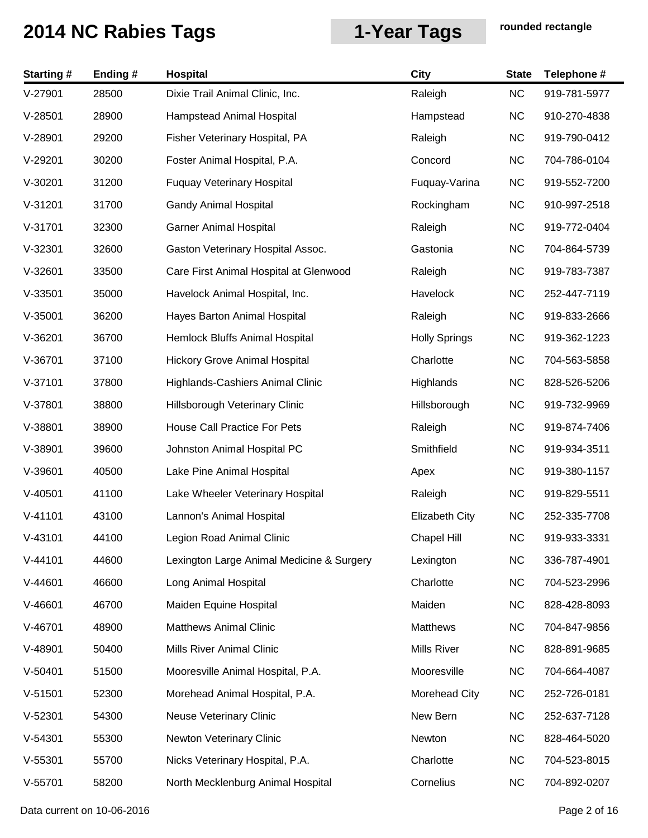| <b>Starting#</b> | Ending# | <b>Hospital</b>                           | <b>City</b>           | <b>State</b> | Telephone #  |
|------------------|---------|-------------------------------------------|-----------------------|--------------|--------------|
| $V-27901$        | 28500   | Dixie Trail Animal Clinic, Inc.           | Raleigh               | <b>NC</b>    | 919-781-5977 |
| $V-28501$        | 28900   | Hampstead Animal Hospital                 | Hampstead             | <b>NC</b>    | 910-270-4838 |
| V-28901          | 29200   | Fisher Veterinary Hospital, PA            | Raleigh               | <b>NC</b>    | 919-790-0412 |
| $V-29201$        | 30200   | Foster Animal Hospital, P.A.              | Concord               | <b>NC</b>    | 704-786-0104 |
| $V-30201$        | 31200   | <b>Fuquay Veterinary Hospital</b>         | Fuquay-Varina         | <b>NC</b>    | 919-552-7200 |
| $V-31201$        | 31700   | <b>Gandy Animal Hospital</b>              | Rockingham            | <b>NC</b>    | 910-997-2518 |
| $V-31701$        | 32300   | <b>Garner Animal Hospital</b>             | Raleigh               | <b>NC</b>    | 919-772-0404 |
| $V-32301$        | 32600   | Gaston Veterinary Hospital Assoc.         | Gastonia              | <b>NC</b>    | 704-864-5739 |
| $V-32601$        | 33500   | Care First Animal Hospital at Glenwood    | Raleigh               | <b>NC</b>    | 919-783-7387 |
| $V-33501$        | 35000   | Havelock Animal Hospital, Inc.            | Havelock              | <b>NC</b>    | 252-447-7119 |
| $V-35001$        | 36200   | Hayes Barton Animal Hospital              | Raleigh               | <b>NC</b>    | 919-833-2666 |
| $V-36201$        | 36700   | Hemlock Bluffs Animal Hospital            | <b>Holly Springs</b>  | <b>NC</b>    | 919-362-1223 |
| $V-36701$        | 37100   | <b>Hickory Grove Animal Hospital</b>      | Charlotte             | <b>NC</b>    | 704-563-5858 |
| $V-37101$        | 37800   | Highlands-Cashiers Animal Clinic          | Highlands             | <b>NC</b>    | 828-526-5206 |
| $V-37801$        | 38800   | Hillsborough Veterinary Clinic            | Hillsborough          | <b>NC</b>    | 919-732-9969 |
| $V-38801$        | 38900   | House Call Practice For Pets              | Raleigh               | <b>NC</b>    | 919-874-7406 |
| $V-38901$        | 39600   | Johnston Animal Hospital PC               | Smithfield            | <b>NC</b>    | 919-934-3511 |
| $V-39601$        | 40500   | Lake Pine Animal Hospital                 | Apex                  | <b>NC</b>    | 919-380-1157 |
| $V-40501$        | 41100   | Lake Wheeler Veterinary Hospital          | Raleigh               | <b>NC</b>    | 919-829-5511 |
| $V-41101$        | 43100   | Lannon's Animal Hospital                  | <b>Elizabeth City</b> | <b>NC</b>    | 252-335-7708 |
| $V-43101$        | 44100   | Legion Road Animal Clinic                 | Chapel Hill           | <b>NC</b>    | 919-933-3331 |
| $V-44101$        | 44600   | Lexington Large Animal Medicine & Surgery | Lexington             | <b>NC</b>    | 336-787-4901 |
| $V-44601$        | 46600   | Long Animal Hospital                      | Charlotte             | <b>NC</b>    | 704-523-2996 |
| $V-46601$        | 46700   | Maiden Equine Hospital                    | Maiden                | <b>NC</b>    | 828-428-8093 |
| $V-46701$        | 48900   | <b>Matthews Animal Clinic</b>             | <b>Matthews</b>       | <b>NC</b>    | 704-847-9856 |
| $V-48901$        | 50400   | Mills River Animal Clinic                 | Mills River           | <b>NC</b>    | 828-891-9685 |
| $V-50401$        | 51500   | Mooresville Animal Hospital, P.A.         | Mooresville           | <b>NC</b>    | 704-664-4087 |
| $V-51501$        | 52300   | Morehead Animal Hospital, P.A.            | Morehead City         | <b>NC</b>    | 252-726-0181 |
| $V-52301$        | 54300   | <b>Neuse Veterinary Clinic</b>            | New Bern              | <b>NC</b>    | 252-637-7128 |
| $V-54301$        | 55300   | Newton Veterinary Clinic                  | Newton                | <b>NC</b>    | 828-464-5020 |
| $V-55301$        | 55700   | Nicks Veterinary Hospital, P.A.           | Charlotte             | <b>NC</b>    | 704-523-8015 |
| $V-55701$        | 58200   | North Mecklenburg Animal Hospital         | Cornelius             | <b>NC</b>    | 704-892-0207 |

Data current on 10-06-2016 **Page 2 of 16**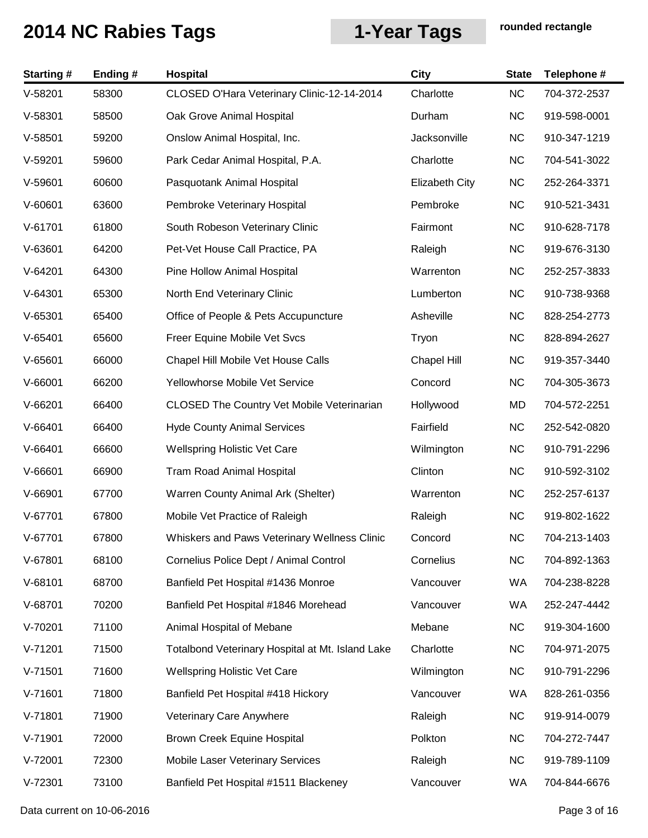| <b>Starting#</b> | Ending# | Hospital                                          | <b>City</b>           | <b>State</b> | Telephone #  |
|------------------|---------|---------------------------------------------------|-----------------------|--------------|--------------|
| $V-58201$        | 58300   | CLOSED O'Hara Veterinary Clinic-12-14-2014        | Charlotte             | NC           | 704-372-2537 |
| $V-58301$        | 58500   | Oak Grove Animal Hospital                         | Durham                | <b>NC</b>    | 919-598-0001 |
| $V-58501$        | 59200   | Onslow Animal Hospital, Inc.                      | Jacksonville          | <b>NC</b>    | 910-347-1219 |
| $V-59201$        | 59600   | Park Cedar Animal Hospital, P.A.                  | Charlotte             | <b>NC</b>    | 704-541-3022 |
| $V-59601$        | 60600   | Pasquotank Animal Hospital                        | <b>Elizabeth City</b> | <b>NC</b>    | 252-264-3371 |
| $V-60601$        | 63600   | Pembroke Veterinary Hospital                      | Pembroke              | <b>NC</b>    | 910-521-3431 |
| $V-61701$        | 61800   | South Robeson Veterinary Clinic                   | Fairmont              | <b>NC</b>    | 910-628-7178 |
| $V-63601$        | 64200   | Pet-Vet House Call Practice, PA                   | Raleigh               | <b>NC</b>    | 919-676-3130 |
| $V-64201$        | 64300   | Pine Hollow Animal Hospital                       | Warrenton             | <b>NC</b>    | 252-257-3833 |
| $V-64301$        | 65300   | North End Veterinary Clinic                       | Lumberton             | <b>NC</b>    | 910-738-9368 |
| $V-65301$        | 65400   | Office of People & Pets Accupuncture              | Asheville             | <b>NC</b>    | 828-254-2773 |
| $V-65401$        | 65600   | Freer Equine Mobile Vet Svcs                      | Tryon                 | <b>NC</b>    | 828-894-2627 |
| $V-65601$        | 66000   | Chapel Hill Mobile Vet House Calls                | Chapel Hill           | <b>NC</b>    | 919-357-3440 |
| $V-66001$        | 66200   | Yellowhorse Mobile Vet Service                    | Concord               | <b>NC</b>    | 704-305-3673 |
| $V-66201$        | 66400   | <b>CLOSED The Country Vet Mobile Veterinarian</b> | Hollywood             | <b>MD</b>    | 704-572-2251 |
| $V-66401$        | 66400   | <b>Hyde County Animal Services</b>                | Fairfield             | <b>NC</b>    | 252-542-0820 |
| $V-66401$        | 66600   | <b>Wellspring Holistic Vet Care</b>               | Wilmington            | <b>NC</b>    | 910-791-2296 |
| $V-66601$        | 66900   | <b>Tram Road Animal Hospital</b>                  | Clinton               | <b>NC</b>    | 910-592-3102 |
| V-66901          | 67700   | Warren County Animal Ark (Shelter)                | Warrenton             | <b>NC</b>    | 252-257-6137 |
| $V-67701$        | 67800   | Mobile Vet Practice of Raleigh                    | Raleigh               | <b>NC</b>    | 919-802-1622 |
| $V-67701$        | 67800   | Whiskers and Paws Veterinary Wellness Clinic      | Concord               | <b>NC</b>    | 704-213-1403 |
| $V-67801$        | 68100   | Cornelius Police Dept / Animal Control            | Cornelius             | <b>NC</b>    | 704-892-1363 |
| $V-68101$        | 68700   | Banfield Pet Hospital #1436 Monroe                | Vancouver             | WA           | 704-238-8228 |
| V-68701          | 70200   | Banfield Pet Hospital #1846 Morehead              | Vancouver             | WA           | 252-247-4442 |
| $V-70201$        | 71100   | Animal Hospital of Mebane                         | Mebane                | <b>NC</b>    | 919-304-1600 |
| $V-71201$        | 71500   | Totalbond Veterinary Hospital at Mt. Island Lake  | Charlotte             | <b>NC</b>    | 704-971-2075 |
| $V-71501$        | 71600   | <b>Wellspring Holistic Vet Care</b>               | Wilmington            | <b>NC</b>    | 910-791-2296 |
| $V-71601$        | 71800   | Banfield Pet Hospital #418 Hickory                | Vancouver             | WA           | 828-261-0356 |
| $V-71801$        | 71900   | Veterinary Care Anywhere                          | Raleigh               | <b>NC</b>    | 919-914-0079 |
| $V-71901$        | 72000   | Brown Creek Equine Hospital                       | Polkton               | <b>NC</b>    | 704-272-7447 |
| $V-72001$        | 72300   | Mobile Laser Veterinary Services                  | Raleigh               | <b>NC</b>    | 919-789-1109 |
| $V-72301$        | 73100   | Banfield Pet Hospital #1511 Blackeney             | Vancouver             | WA           | 704-844-6676 |

Data current on 10-06-2016 **Page 3 of 16**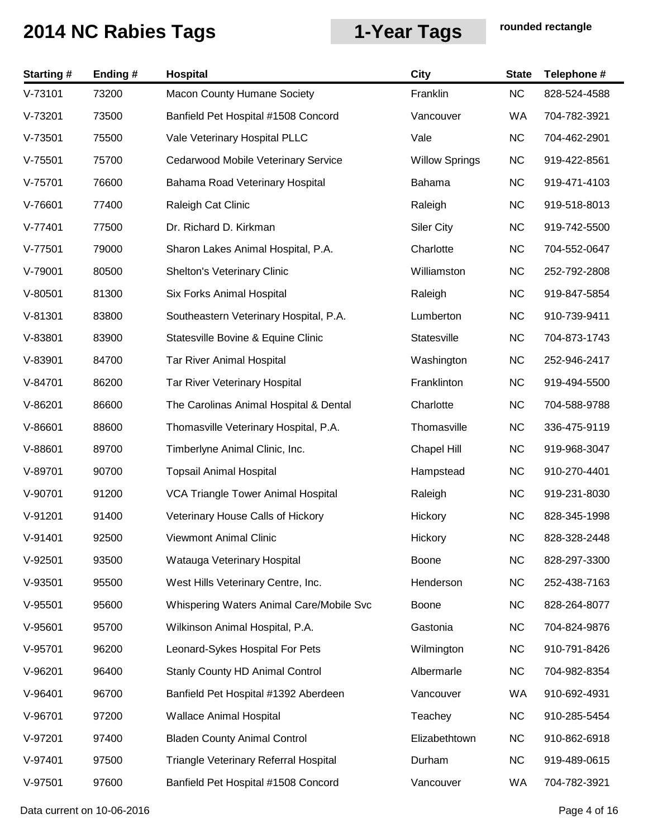| <b>Starting#</b> | Ending# | Hospital                                 | <b>City</b>           | <b>State</b> | Telephone #  |
|------------------|---------|------------------------------------------|-----------------------|--------------|--------------|
| $V-73101$        | 73200   | <b>Macon County Humane Society</b>       | Franklin              | <b>NC</b>    | 828-524-4588 |
| $V-73201$        | 73500   | Banfield Pet Hospital #1508 Concord      | Vancouver             | WA           | 704-782-3921 |
| $V-73501$        | 75500   | Vale Veterinary Hospital PLLC            | Vale                  | <b>NC</b>    | 704-462-2901 |
| $V-75501$        | 75700   | Cedarwood Mobile Veterinary Service      | <b>Willow Springs</b> | <b>NC</b>    | 919-422-8561 |
| $V-75701$        | 76600   | Bahama Road Veterinary Hospital          | Bahama                | <b>NC</b>    | 919-471-4103 |
| $V-76601$        | 77400   | Raleigh Cat Clinic                       | Raleigh               | <b>NC</b>    | 919-518-8013 |
| $V-77401$        | 77500   | Dr. Richard D. Kirkman                   | <b>Siler City</b>     | <b>NC</b>    | 919-742-5500 |
| $V-77501$        | 79000   | Sharon Lakes Animal Hospital, P.A.       | Charlotte             | <b>NC</b>    | 704-552-0647 |
| $V-79001$        | 80500   | <b>Shelton's Veterinary Clinic</b>       | Williamston           | <b>NC</b>    | 252-792-2808 |
| $V-80501$        | 81300   | Six Forks Animal Hospital                | Raleigh               | <b>NC</b>    | 919-847-5854 |
| $V-81301$        | 83800   | Southeastern Veterinary Hospital, P.A.   | Lumberton             | <b>NC</b>    | 910-739-9411 |
| $V-83801$        | 83900   | Statesville Bovine & Equine Clinic       | Statesville           | <b>NC</b>    | 704-873-1743 |
| $V-83901$        | 84700   | <b>Tar River Animal Hospital</b>         | Washington            | <b>NC</b>    | 252-946-2417 |
| $V-84701$        | 86200   | Tar River Veterinary Hospital            | Franklinton           | <b>NC</b>    | 919-494-5500 |
| $V-86201$        | 86600   | The Carolinas Animal Hospital & Dental   | Charlotte             | <b>NC</b>    | 704-588-9788 |
| $V-86601$        | 88600   | Thomasville Veterinary Hospital, P.A.    | Thomasville           | <b>NC</b>    | 336-475-9119 |
| $V-88601$        | 89700   | Timberlyne Animal Clinic, Inc.           | <b>Chapel Hill</b>    | <b>NC</b>    | 919-968-3047 |
| $V-89701$        | 90700   | <b>Topsail Animal Hospital</b>           | Hampstead             | <b>NC</b>    | 910-270-4401 |
| V-90701          | 91200   | VCA Triangle Tower Animal Hospital       | Raleigh               | <b>NC</b>    | 919-231-8030 |
| $V-91201$        | 91400   | Veterinary House Calls of Hickory        | Hickory               | <b>NC</b>    | 828-345-1998 |
| $V-91401$        | 92500   | Viewmont Animal Clinic                   | Hickory               | <b>NC</b>    | 828-328-2448 |
| $V-92501$        | 93500   | Watauga Veterinary Hospital              | Boone                 | <b>NC</b>    | 828-297-3300 |
| $V-93501$        | 95500   | West Hills Veterinary Centre, Inc.       | Henderson             | <b>NC</b>    | 252-438-7163 |
| $V-95501$        | 95600   | Whispering Waters Animal Care/Mobile Svc | Boone                 | <b>NC</b>    | 828-264-8077 |
| $V-95601$        | 95700   | Wilkinson Animal Hospital, P.A.          | Gastonia              | <b>NC</b>    | 704-824-9876 |
| $V-95701$        | 96200   | Leonard-Sykes Hospital For Pets          | Wilmington            | <b>NC</b>    | 910-791-8426 |
| $V-96201$        | 96400   | Stanly County HD Animal Control          | Albermarle            | <b>NC</b>    | 704-982-8354 |
| $V-96401$        | 96700   | Banfield Pet Hospital #1392 Aberdeen     | Vancouver             | WA           | 910-692-4931 |
| V-96701          | 97200   | <b>Wallace Animal Hospital</b>           | Teachey               | <b>NC</b>    | 910-285-5454 |
| $V-97201$        | 97400   | <b>Bladen County Animal Control</b>      | Elizabethtown         | <b>NC</b>    | 910-862-6918 |
| $V-97401$        | 97500   | Triangle Veterinary Referral Hospital    | Durham                | <b>NC</b>    | 919-489-0615 |
| $V-97501$        | 97600   | Banfield Pet Hospital #1508 Concord      | Vancouver             | WA           | 704-782-3921 |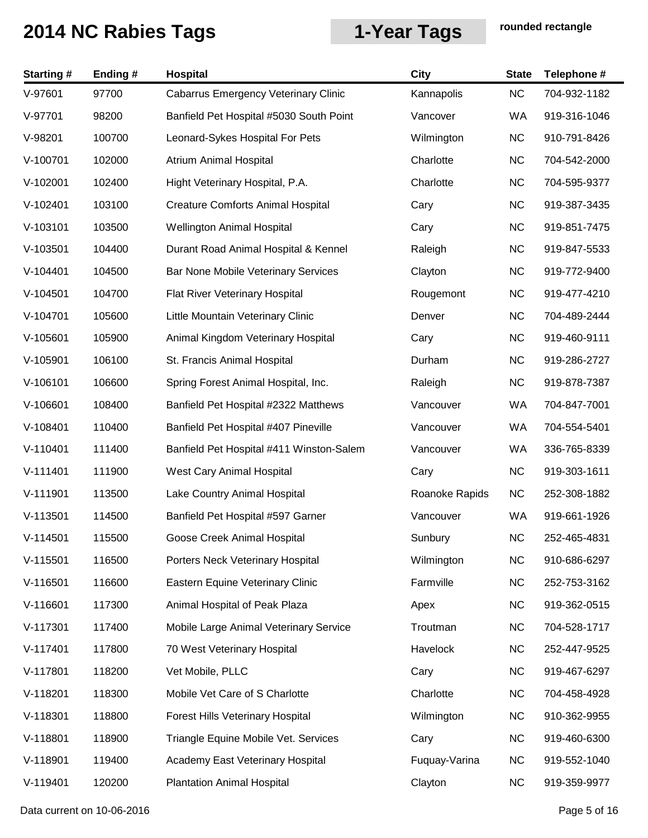| <b>Starting#</b> | Ending# | Hospital                                    | <b>City</b>    | <b>State</b> | Telephone #  |
|------------------|---------|---------------------------------------------|----------------|--------------|--------------|
| $V-97601$        | 97700   | <b>Cabarrus Emergency Veterinary Clinic</b> | Kannapolis     | <b>NC</b>    | 704-932-1182 |
| V-97701          | 98200   | Banfield Pet Hospital #5030 South Point     | Vancover       | <b>WA</b>    | 919-316-1046 |
| V-98201          | 100700  | Leonard-Sykes Hospital For Pets             | Wilmington     | <b>NC</b>    | 910-791-8426 |
| V-100701         | 102000  | Atrium Animal Hospital                      | Charlotte      | <b>NC</b>    | 704-542-2000 |
| V-102001         | 102400  | Hight Veterinary Hospital, P.A.             | Charlotte      | <b>NC</b>    | 704-595-9377 |
| $V-102401$       | 103100  | <b>Creature Comforts Animal Hospital</b>    | Cary           | <b>NC</b>    | 919-387-3435 |
| V-103101         | 103500  | <b>Wellington Animal Hospital</b>           | Cary           | <b>NC</b>    | 919-851-7475 |
| $V-103501$       | 104400  | Durant Road Animal Hospital & Kennel        | Raleigh        | <b>NC</b>    | 919-847-5533 |
| $V-104401$       | 104500  | Bar None Mobile Veterinary Services         | Clayton        | <b>NC</b>    | 919-772-9400 |
| $V-104501$       | 104700  | Flat River Veterinary Hospital              | Rougemont      | <b>NC</b>    | 919-477-4210 |
| $V-104701$       | 105600  | Little Mountain Veterinary Clinic           | Denver         | <b>NC</b>    | 704-489-2444 |
| $V-105601$       | 105900  | Animal Kingdom Veterinary Hospital          | Cary           | <b>NC</b>    | 919-460-9111 |
| $V-105901$       | 106100  | St. Francis Animal Hospital                 | Durham         | <b>NC</b>    | 919-286-2727 |
| V-106101         | 106600  | Spring Forest Animal Hospital, Inc.         | Raleigh        | <b>NC</b>    | 919-878-7387 |
| V-106601         | 108400  | Banfield Pet Hospital #2322 Matthews        | Vancouver      | WA           | 704-847-7001 |
| V-108401         | 110400  | Banfield Pet Hospital #407 Pineville        | Vancouver      | WA           | 704-554-5401 |
| $V-110401$       | 111400  | Banfield Pet Hospital #411 Winston-Salem    | Vancouver      | WA           | 336-765-8339 |
| $V-111401$       | 111900  | West Cary Animal Hospital                   | Cary           | <b>NC</b>    | 919-303-1611 |
| $V-111901$       | 113500  | Lake Country Animal Hospital                | Roanoke Rapids | <b>NC</b>    | 252-308-1882 |
| $V-113501$       | 114500  | Banfield Pet Hospital #597 Garner           | Vancouver      | WA           | 919-661-1926 |
| $V-114501$       | 115500  | Goose Creek Animal Hospital                 | Sunbury        | <b>NC</b>    | 252-465-4831 |
| $V-115501$       | 116500  | Porters Neck Veterinary Hospital            | Wilmington     | <b>NC</b>    | 910-686-6297 |
| $V-116501$       | 116600  | Eastern Equine Veterinary Clinic            | Farmville      | <b>NC</b>    | 252-753-3162 |
| $V-116601$       | 117300  | Animal Hospital of Peak Plaza               | Apex           | <b>NC</b>    | 919-362-0515 |
| $V-117301$       | 117400  | Mobile Large Animal Veterinary Service      | Troutman       | <b>NC</b>    | 704-528-1717 |
| $V-117401$       | 117800  | 70 West Veterinary Hospital                 | Havelock       | <b>NC</b>    | 252-447-9525 |
| $V-117801$       | 118200  | Vet Mobile, PLLC                            | Cary           | <b>NC</b>    | 919-467-6297 |
| $V-118201$       | 118300  | Mobile Vet Care of S Charlotte              | Charlotte      | <b>NC</b>    | 704-458-4928 |
| V-118301         | 118800  | Forest Hills Veterinary Hospital            | Wilmington     | <b>NC</b>    | 910-362-9955 |
| V-118801         | 118900  | Triangle Equine Mobile Vet. Services        | Cary           | <b>NC</b>    | 919-460-6300 |
| V-118901         | 119400  | Academy East Veterinary Hospital            | Fuquay-Varina  | <b>NC</b>    | 919-552-1040 |
| $V-119401$       | 120200  | <b>Plantation Animal Hospital</b>           | Clayton        | <b>NC</b>    | 919-359-9977 |

Data current on 10-06-2016 **Page 5 of 16**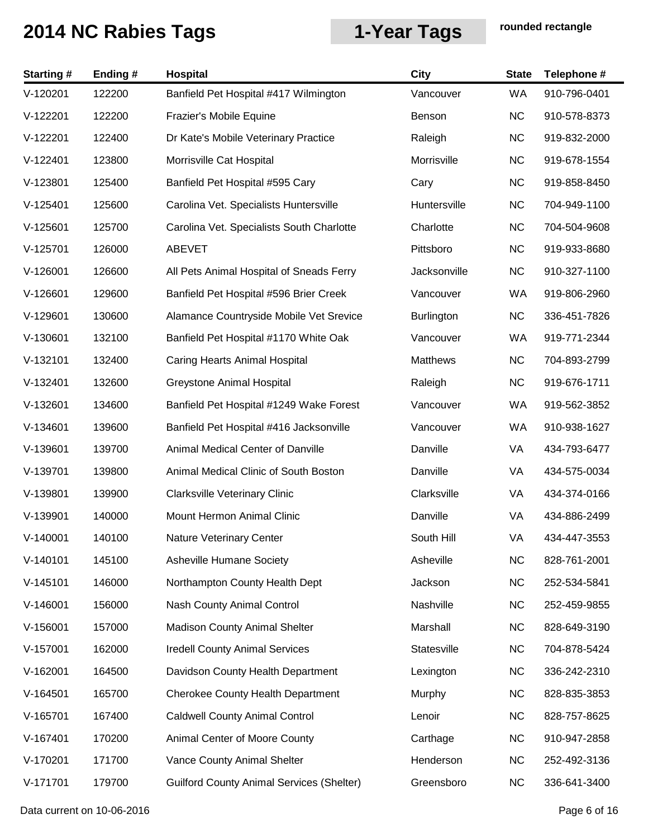| <b>Starting#</b> | Ending# | Hospital                                         | <b>City</b>       | <b>State</b> | Telephone #  |
|------------------|---------|--------------------------------------------------|-------------------|--------------|--------------|
| $V-120201$       | 122200  | Banfield Pet Hospital #417 Wilmington            | Vancouver         | <b>WA</b>    | 910-796-0401 |
| $V-122201$       | 122200  | Frazier's Mobile Equine                          | Benson            | <b>NC</b>    | 910-578-8373 |
| $V-122201$       | 122400  | Dr Kate's Mobile Veterinary Practice             | Raleigh           | <b>NC</b>    | 919-832-2000 |
| $V-122401$       | 123800  | Morrisville Cat Hospital                         | Morrisville       | <b>NC</b>    | 919-678-1554 |
| V-123801         | 125400  | Banfield Pet Hospital #595 Cary                  | Cary              | <b>NC</b>    | 919-858-8450 |
| $V-125401$       | 125600  | Carolina Vet. Specialists Huntersville           | Huntersville      | <b>NC</b>    | 704-949-1100 |
| $V-125601$       | 125700  | Carolina Vet. Specialists South Charlotte        | Charlotte         | <b>NC</b>    | 704-504-9608 |
| $V-125701$       | 126000  | ABEVET                                           | Pittsboro         | <b>NC</b>    | 919-933-8680 |
| $V-126001$       | 126600  | All Pets Animal Hospital of Sneads Ferry         | Jacksonville      | <b>NC</b>    | 910-327-1100 |
| $V-126601$       | 129600  | Banfield Pet Hospital #596 Brier Creek           | Vancouver         | WA           | 919-806-2960 |
| V-129601         | 130600  | Alamance Countryside Mobile Vet Srevice          | <b>Burlington</b> | <b>NC</b>    | 336-451-7826 |
| $V-130601$       | 132100  | Banfield Pet Hospital #1170 White Oak            | Vancouver         | WA           | 919-771-2344 |
| $V-132101$       | 132400  | Caring Hearts Animal Hospital                    | <b>Matthews</b>   | <b>NC</b>    | 704-893-2799 |
| $V-132401$       | 132600  | Greystone Animal Hospital                        | Raleigh           | <b>NC</b>    | 919-676-1711 |
| $V-132601$       | 134600  | Banfield Pet Hospital #1249 Wake Forest          | Vancouver         | WA           | 919-562-3852 |
| $V-134601$       | 139600  | Banfield Pet Hospital #416 Jacksonville          | Vancouver         | WA           | 910-938-1627 |
| $V-139601$       | 139700  | Animal Medical Center of Danville                | Danville          | VA           | 434-793-6477 |
| V-139701         | 139800  | Animal Medical Clinic of South Boston            | Danville          | VA           | 434-575-0034 |
| V-139801         | 139900  | <b>Clarksville Veterinary Clinic</b>             | Clarksville       | VA           | 434-374-0166 |
| V-139901         | 140000  | Mount Hermon Animal Clinic                       | Danville          | VA           | 434-886-2499 |
| $V-140001$       | 140100  | Nature Veterinary Center                         | South Hill        | VA           | 434-447-3553 |
| $V-140101$       | 145100  | <b>Asheville Humane Society</b>                  | Asheville         | <b>NC</b>    | 828-761-2001 |
| $V-145101$       | 146000  | Northampton County Health Dept                   | Jackson           | <b>NC</b>    | 252-534-5841 |
| $V-146001$       | 156000  | Nash County Animal Control                       | Nashville         | <b>NC</b>    | 252-459-9855 |
| $V-156001$       | 157000  | <b>Madison County Animal Shelter</b>             | Marshall          | <b>NC</b>    | 828-649-3190 |
| $V-157001$       | 162000  | <b>Iredell County Animal Services</b>            | Statesville       | <b>NC</b>    | 704-878-5424 |
| $V-162001$       | 164500  | Davidson County Health Department                | Lexington         | <b>NC</b>    | 336-242-2310 |
| $V-164501$       | 165700  | <b>Cherokee County Health Department</b>         | Murphy            | <b>NC</b>    | 828-835-3853 |
| $V-165701$       | 167400  | <b>Caldwell County Animal Control</b>            | Lenoir            | <b>NC</b>    | 828-757-8625 |
| $V-167401$       | 170200  | Animal Center of Moore County                    | Carthage          | <b>NC</b>    | 910-947-2858 |
| V-170201         | 171700  | Vance County Animal Shelter                      | Henderson         | <b>NC</b>    | 252-492-3136 |
| V-171701         | 179700  | <b>Guilford County Animal Services (Shelter)</b> | Greensboro        | <b>NC</b>    | 336-641-3400 |

Data current on 10-06-2016 **Page 6 of 16**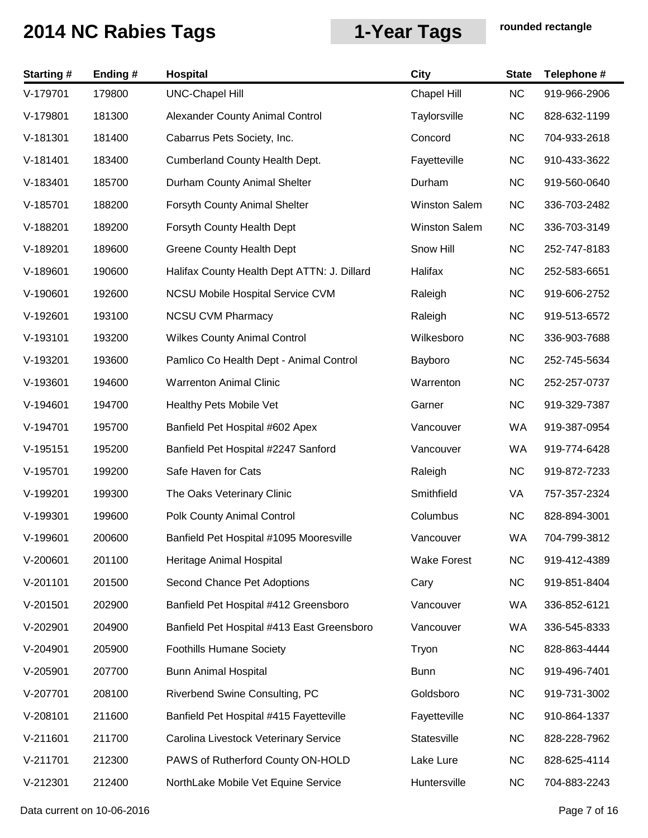| <b>Starting#</b> | Ending# | <b>Hospital</b>                             | <b>City</b>          | <b>State</b> | Telephone #  |
|------------------|---------|---------------------------------------------|----------------------|--------------|--------------|
| V-179701         | 179800  | <b>UNC-Chapel Hill</b>                      | <b>Chapel Hill</b>   | <b>NC</b>    | 919-966-2906 |
| V-179801         | 181300  | Alexander County Animal Control             | Taylorsville         | <b>NC</b>    | 828-632-1199 |
| $V-181301$       | 181400  | Cabarrus Pets Society, Inc.                 | Concord              | <b>NC</b>    | 704-933-2618 |
| $V-181401$       | 183400  | Cumberland County Health Dept.              | Fayetteville         | <b>NC</b>    | 910-433-3622 |
| V-183401         | 185700  | Durham County Animal Shelter                | Durham               | <b>NC</b>    | 919-560-0640 |
| $V-185701$       | 188200  | Forsyth County Animal Shelter               | <b>Winston Salem</b> | <b>NC</b>    | 336-703-2482 |
| V-188201         | 189200  | Forsyth County Health Dept                  | Winston Salem        | <b>NC</b>    | 336-703-3149 |
| V-189201         | 189600  | <b>Greene County Health Dept</b>            | Snow Hill            | <b>NC</b>    | 252-747-8183 |
| V-189601         | 190600  | Halifax County Health Dept ATTN: J. Dillard | Halifax              | <b>NC</b>    | 252-583-6651 |
| $V-190601$       | 192600  | <b>NCSU Mobile Hospital Service CVM</b>     | Raleigh              | <b>NC</b>    | 919-606-2752 |
| V-192601         | 193100  | <b>NCSU CVM Pharmacy</b>                    | Raleigh              | <b>NC</b>    | 919-513-6572 |
| V-193101         | 193200  | <b>Wilkes County Animal Control</b>         | Wilkesboro           | <b>NC</b>    | 336-903-7688 |
| V-193201         | 193600  | Pamlico Co Health Dept - Animal Control     | Bayboro              | <b>NC</b>    | 252-745-5634 |
| V-193601         | 194600  | <b>Warrenton Animal Clinic</b>              | Warrenton            | <b>NC</b>    | 252-257-0737 |
| $V-194601$       | 194700  | Healthy Pets Mobile Vet                     | Garner               | <b>NC</b>    | 919-329-7387 |
| V-194701         | 195700  | Banfield Pet Hospital #602 Apex             | Vancouver            | WA           | 919-387-0954 |
| $V-195151$       | 195200  | Banfield Pet Hospital #2247 Sanford         | Vancouver            | WA           | 919-774-6428 |
| V-195701         | 199200  | Safe Haven for Cats                         | Raleigh              | <b>NC</b>    | 919-872-7233 |
| V-199201         | 199300  | The Oaks Veterinary Clinic                  | Smithfield           | VA           | 757-357-2324 |
| V-199301         | 199600  | Polk County Animal Control                  | Columbus             | <b>NC</b>    | 828-894-3001 |
| V-199601         | 200600  | Banfield Pet Hospital #1095 Mooresville     | Vancouver            | WA           | 704-799-3812 |
| $V-200601$       | 201100  | Heritage Animal Hospital                    | <b>Wake Forest</b>   | <b>NC</b>    | 919-412-4389 |
| $V-201101$       | 201500  | Second Chance Pet Adoptions                 | Cary                 | <b>NC</b>    | 919-851-8404 |
| $V-201501$       | 202900  | Banfield Pet Hospital #412 Greensboro       | Vancouver            | WA           | 336-852-6121 |
| V-202901         | 204900  | Banfield Pet Hospital #413 East Greensboro  | Vancouver            | WA           | 336-545-8333 |
| V-204901         | 205900  | <b>Foothills Humane Society</b>             | Tryon                | <b>NC</b>    | 828-863-4444 |
| $V-205901$       | 207700  | <b>Bunn Animal Hospital</b>                 | <b>Bunn</b>          | <b>NC</b>    | 919-496-7401 |
| V-207701         | 208100  | Riverbend Swine Consulting, PC              | Goldsboro            | <b>NC</b>    | 919-731-3002 |
| V-208101         | 211600  | Banfield Pet Hospital #415 Fayetteville     | Fayetteville         | <b>NC</b>    | 910-864-1337 |
| $V-211601$       | 211700  | Carolina Livestock Veterinary Service       | Statesville          | <b>NC</b>    | 828-228-7962 |
| $V-211701$       | 212300  | PAWS of Rutherford County ON-HOLD           | Lake Lure            | <b>NC</b>    | 828-625-4114 |
| V-212301         | 212400  | NorthLake Mobile Vet Equine Service         | Huntersville         | <b>NC</b>    | 704-883-2243 |

Data current on 10-06-2016 **Page 7 of 16**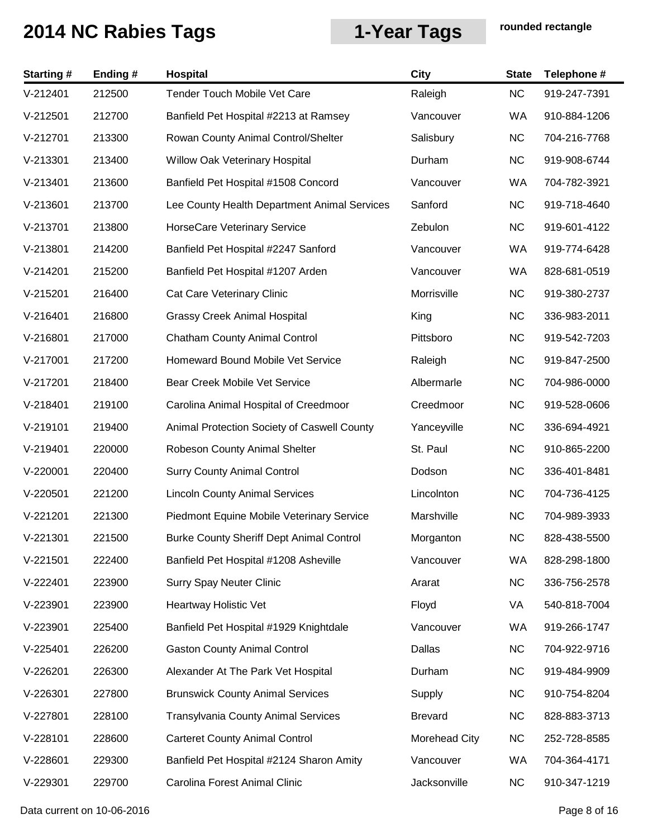| <b>Starting#</b> | Ending# | <b>Hospital</b>                                 | <b>City</b>    | <b>State</b> | Telephone #  |
|------------------|---------|-------------------------------------------------|----------------|--------------|--------------|
| $V-212401$       | 212500  | <b>Tender Touch Mobile Vet Care</b>             | Raleigh        | <b>NC</b>    | 919-247-7391 |
| $V-212501$       | 212700  | Banfield Pet Hospital #2213 at Ramsey           | Vancouver      | WA           | 910-884-1206 |
| $V-212701$       | 213300  | Rowan County Animal Control/Shelter             | Salisbury      | <b>NC</b>    | 704-216-7768 |
| $V-213301$       | 213400  | Willow Oak Veterinary Hospital                  | Durham         | <b>NC</b>    | 919-908-6744 |
| $V-213401$       | 213600  | Banfield Pet Hospital #1508 Concord             | Vancouver      | <b>WA</b>    | 704-782-3921 |
| $V-213601$       | 213700  | Lee County Health Department Animal Services    | Sanford        | <b>NC</b>    | 919-718-4640 |
| $V-213701$       | 213800  | HorseCare Veterinary Service                    | Zebulon        | <b>NC</b>    | 919-601-4122 |
| $V-213801$       | 214200  | Banfield Pet Hospital #2247 Sanford             | Vancouver      | WA           | 919-774-6428 |
| $V-214201$       | 215200  | Banfield Pet Hospital #1207 Arden               | Vancouver      | <b>WA</b>    | 828-681-0519 |
| $V-215201$       | 216400  | Cat Care Veterinary Clinic                      | Morrisville    | <b>NC</b>    | 919-380-2737 |
| $V-216401$       | 216800  | <b>Grassy Creek Animal Hospital</b>             | King           | <b>NC</b>    | 336-983-2011 |
| $V-216801$       | 217000  | <b>Chatham County Animal Control</b>            | Pittsboro      | <b>NC</b>    | 919-542-7203 |
| $V-217001$       | 217200  | Homeward Bound Mobile Vet Service               | Raleigh        | <b>NC</b>    | 919-847-2500 |
| $V-217201$       | 218400  | Bear Creek Mobile Vet Service                   | Albermarle     | <b>NC</b>    | 704-986-0000 |
| $V-218401$       | 219100  | Carolina Animal Hospital of Creedmoor           | Creedmoor      | <b>NC</b>    | 919-528-0606 |
| V-219101         | 219400  | Animal Protection Society of Caswell County     | Yanceyville    | <b>NC</b>    | 336-694-4921 |
| $V-219401$       | 220000  | Robeson County Animal Shelter                   | St. Paul       | <b>NC</b>    | 910-865-2200 |
| $V-220001$       | 220400  | <b>Surry County Animal Control</b>              | Dodson         | <b>NC</b>    | 336-401-8481 |
| $V-220501$       | 221200  | <b>Lincoln County Animal Services</b>           | Lincolnton     | <b>NC</b>    | 704-736-4125 |
| $V-221201$       | 221300  | Piedmont Equine Mobile Veterinary Service       | Marshville     | <b>NC</b>    | 704-989-3933 |
| $V-221301$       | 221500  | <b>Burke County Sheriff Dept Animal Control</b> | Morganton      | <b>NC</b>    | 828-438-5500 |
| $V-221501$       | 222400  | Banfield Pet Hospital #1208 Asheville           | Vancouver      | WA           | 828-298-1800 |
| $V-222401$       | 223900  | <b>Surry Spay Neuter Clinic</b>                 | Ararat         | <b>NC</b>    | 336-756-2578 |
| V-223901         | 223900  | Heartway Holistic Vet                           | Floyd          | VA           | 540-818-7004 |
| V-223901         | 225400  | Banfield Pet Hospital #1929 Knightdale          | Vancouver      | WA           | 919-266-1747 |
| $V-225401$       | 226200  | <b>Gaston County Animal Control</b>             | Dallas         | <b>NC</b>    | 704-922-9716 |
| $V-226201$       | 226300  | Alexander At The Park Vet Hospital              | Durham         | <b>NC</b>    | 919-484-9909 |
| $V-226301$       | 227800  | <b>Brunswick County Animal Services</b>         | Supply         | <b>NC</b>    | 910-754-8204 |
| V-227801         | 228100  | <b>Transylvania County Animal Services</b>      | <b>Brevard</b> | <b>NC</b>    | 828-883-3713 |
| $V-228101$       | 228600  | <b>Carteret County Animal Control</b>           | Morehead City  | <b>NC</b>    | 252-728-8585 |
| V-228601         | 229300  | Banfield Pet Hospital #2124 Sharon Amity        | Vancouver      | WA           | 704-364-4171 |
| V-229301         | 229700  | Carolina Forest Animal Clinic                   | Jacksonville   | <b>NC</b>    | 910-347-1219 |

Data current on 10-06-2016 **Page 8 of 16**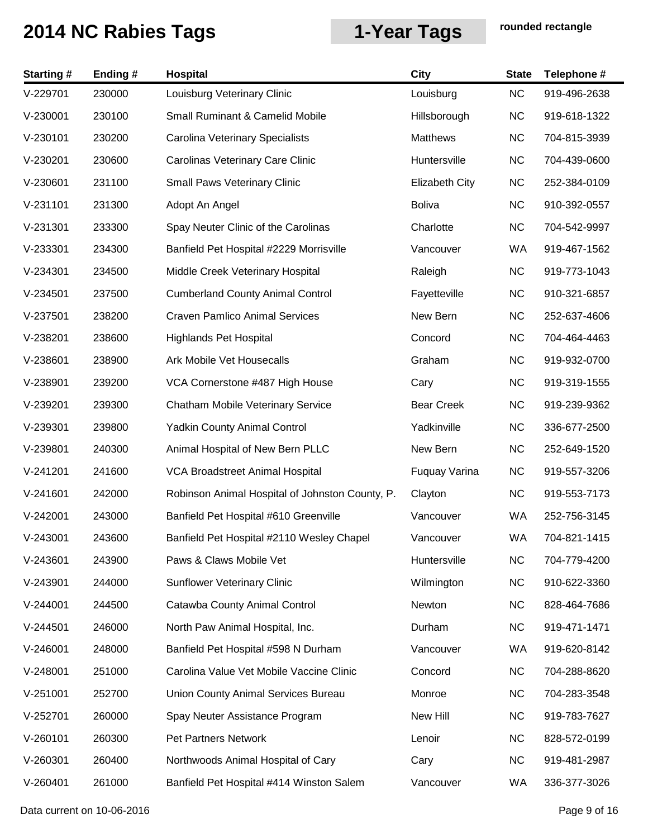| <b>Starting#</b> | Ending# | <b>Hospital</b>                                 | <b>City</b>           | <b>State</b> | Telephone #  |
|------------------|---------|-------------------------------------------------|-----------------------|--------------|--------------|
| V-229701         | 230000  | Louisburg Veterinary Clinic                     | Louisburg             | NC           | 919-496-2638 |
| $V-230001$       | 230100  | <b>Small Ruminant &amp; Camelid Mobile</b>      | Hillsborough          | <b>NC</b>    | 919-618-1322 |
| $V-230101$       | 230200  | Carolina Veterinary Specialists                 | <b>Matthews</b>       | <b>NC</b>    | 704-815-3939 |
| $V-230201$       | 230600  | Carolinas Veterinary Care Clinic                | Huntersville          | <b>NC</b>    | 704-439-0600 |
| $V-230601$       | 231100  | <b>Small Paws Veterinary Clinic</b>             | <b>Elizabeth City</b> | <b>NC</b>    | 252-384-0109 |
| $V-231101$       | 231300  | Adopt An Angel                                  | <b>Boliva</b>         | <b>NC</b>    | 910-392-0557 |
| $V-231301$       | 233300  | Spay Neuter Clinic of the Carolinas             | Charlotte             | <b>NC</b>    | 704-542-9997 |
| $V-233301$       | 234300  | Banfield Pet Hospital #2229 Morrisville         | Vancouver             | WA           | 919-467-1562 |
| $V-234301$       | 234500  | Middle Creek Veterinary Hospital                | Raleigh               | <b>NC</b>    | 919-773-1043 |
| $V-234501$       | 237500  | <b>Cumberland County Animal Control</b>         | Fayetteville          | <b>NC</b>    | 910-321-6857 |
| $V-237501$       | 238200  | <b>Craven Pamlico Animal Services</b>           | New Bern              | <b>NC</b>    | 252-637-4606 |
| V-238201         | 238600  | <b>Highlands Pet Hospital</b>                   | Concord               | <b>NC</b>    | 704-464-4463 |
| V-238601         | 238900  | Ark Mobile Vet Housecalls                       | Graham                | <b>NC</b>    | 919-932-0700 |
| V-238901         | 239200  | VCA Cornerstone #487 High House                 | Cary                  | <b>NC</b>    | 919-319-1555 |
| V-239201         | 239300  | Chatham Mobile Veterinary Service               | <b>Bear Creek</b>     | <b>NC</b>    | 919-239-9362 |
| $V-239301$       | 239800  | <b>Yadkin County Animal Control</b>             | Yadkinville           | <b>NC</b>    | 336-677-2500 |
| V-239801         | 240300  | Animal Hospital of New Bern PLLC                | New Bern              | <b>NC</b>    | 252-649-1520 |
| $V-241201$       | 241600  | <b>VCA Broadstreet Animal Hospital</b>          | Fuquay Varina         | <b>NC</b>    | 919-557-3206 |
| $V-241601$       | 242000  | Robinson Animal Hospital of Johnston County, P. | Clayton               | <b>NC</b>    | 919-553-7173 |
| V-242001         | 243000  | Banfield Pet Hospital #610 Greenville           | Vancouver             | WA           | 252-756-3145 |
| $V-243001$       | 243600  | Banfield Pet Hospital #2110 Wesley Chapel       | Vancouver             | WA           | 704-821-1415 |
| $V-243601$       | 243900  | Paws & Claws Mobile Vet                         | Huntersville          | <b>NC</b>    | 704-779-4200 |
| $V-243901$       | 244000  | <b>Sunflower Veterinary Clinic</b>              | Wilmington            | <b>NC</b>    | 910-622-3360 |
| $V-244001$       | 244500  | Catawba County Animal Control                   | Newton                | <b>NC</b>    | 828-464-7686 |
| $V-244501$       | 246000  | North Paw Animal Hospital, Inc.                 | Durham                | <b>NC</b>    | 919-471-1471 |
| $V-246001$       | 248000  | Banfield Pet Hospital #598 N Durham             | Vancouver             | WA           | 919-620-8142 |
| $V-248001$       | 251000  | Carolina Value Vet Mobile Vaccine Clinic        | Concord               | <b>NC</b>    | 704-288-8620 |
| $V-251001$       | 252700  | Union County Animal Services Bureau             | Monroe                | <b>NC</b>    | 704-283-3548 |
| V-252701         | 260000  | Spay Neuter Assistance Program                  | New Hill              | <b>NC</b>    | 919-783-7627 |
| $V-260101$       | 260300  | Pet Partners Network                            | Lenoir                | <b>NC</b>    | 828-572-0199 |
| $V-260301$       | 260400  | Northwoods Animal Hospital of Cary              | Cary                  | <b>NC</b>    | 919-481-2987 |
| V-260401         | 261000  | Banfield Pet Hospital #414 Winston Salem        | Vancouver             | WA           | 336-377-3026 |

Data current on 10-06-2016 **Page 9 of 16**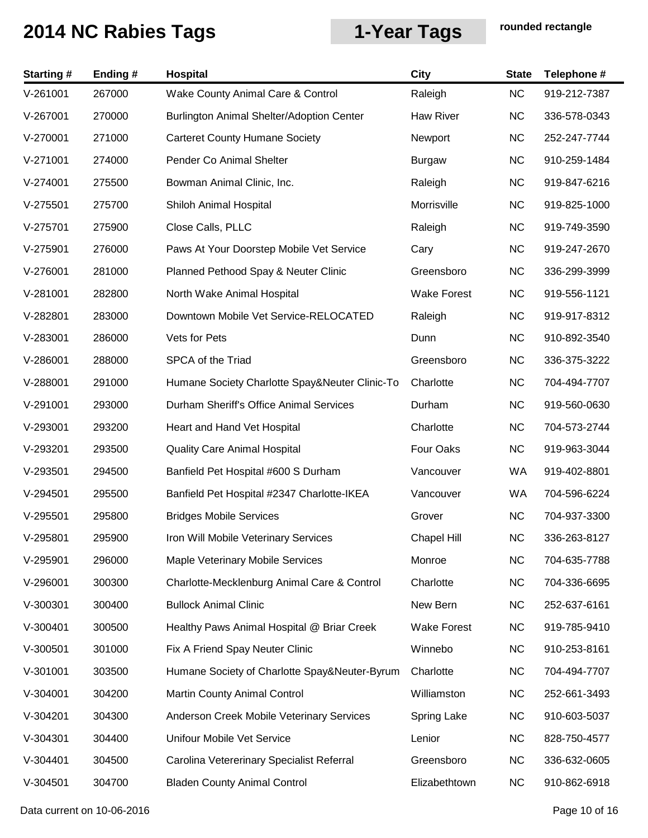| <b>Starting#</b> | Ending # | Hospital                                       | <b>City</b>        | <b>State</b> | Telephone #  |
|------------------|----------|------------------------------------------------|--------------------|--------------|--------------|
| $V-261001$       | 267000   | Wake County Animal Care & Control              | Raleigh            | <b>NC</b>    | 919-212-7387 |
| V-267001         | 270000   | Burlington Animal Shelter/Adoption Center      | <b>Haw River</b>   | <b>NC</b>    | 336-578-0343 |
| V-270001         | 271000   | <b>Carteret County Humane Society</b>          | Newport            | <b>NC</b>    | 252-247-7744 |
| $V-271001$       | 274000   | Pender Co Animal Shelter                       | <b>Burgaw</b>      | <b>NC</b>    | 910-259-1484 |
| $V-274001$       | 275500   | Bowman Animal Clinic, Inc.                     | Raleigh            | <b>NC</b>    | 919-847-6216 |
| $V-275501$       | 275700   | Shiloh Animal Hospital                         | Morrisville        | <b>NC</b>    | 919-825-1000 |
| $V-275701$       | 275900   | Close Calls, PLLC                              | Raleigh            | <b>NC</b>    | 919-749-3590 |
| $V-275901$       | 276000   | Paws At Your Doorstep Mobile Vet Service       | Cary               | <b>NC</b>    | 919-247-2670 |
| $V-276001$       | 281000   | Planned Pethood Spay & Neuter Clinic           | Greensboro         | <b>NC</b>    | 336-299-3999 |
| $V-281001$       | 282800   | North Wake Animal Hospital                     | <b>Wake Forest</b> | <b>NC</b>    | 919-556-1121 |
| V-282801         | 283000   | Downtown Mobile Vet Service-RELOCATED          | Raleigh            | <b>NC</b>    | 919-917-8312 |
| $V-283001$       | 286000   | Vets for Pets                                  | Dunn               | <b>NC</b>    | 910-892-3540 |
| $V-286001$       | 288000   | SPCA of the Triad                              | Greensboro         | <b>NC</b>    | 336-375-3222 |
| V-288001         | 291000   | Humane Society Charlotte Spay&Neuter Clinic-To | Charlotte          | <b>NC</b>    | 704-494-7707 |
| V-291001         | 293000   | Durham Sheriff's Office Animal Services        | Durham             | <b>NC</b>    | 919-560-0630 |
| $V-293001$       | 293200   | Heart and Hand Vet Hospital                    | Charlotte          | <b>NC</b>    | 704-573-2744 |
| V-293201         | 293500   | <b>Quality Care Animal Hospital</b>            | Four Oaks          | <b>NC</b>    | 919-963-3044 |
| $V-293501$       | 294500   | Banfield Pet Hospital #600 S Durham            | Vancouver          | WA           | 919-402-8801 |
| $V-294501$       | 295500   | Banfield Pet Hospital #2347 Charlotte-IKEA     | Vancouver          | WA           | 704-596-6224 |
| $V-295501$       | 295800   | <b>Bridges Mobile Services</b>                 | Grover             | <b>NC</b>    | 704-937-3300 |
| V-295801         | 295900   | Iron Will Mobile Veterinary Services           | Chapel Hill        | <b>NC</b>    | 336-263-8127 |
| $V-295901$       | 296000   | Maple Veterinary Mobile Services               | Monroe             | <b>NC</b>    | 704-635-7788 |
| $V-296001$       | 300300   | Charlotte-Mecklenburg Animal Care & Control    | Charlotte          | <b>NC</b>    | 704-336-6695 |
| $V-300301$       | 300400   | <b>Bullock Animal Clinic</b>                   | New Bern           | <b>NC</b>    | 252-637-6161 |
| V-300401         | 300500   | Healthy Paws Animal Hospital @ Briar Creek     | <b>Wake Forest</b> | <b>NC</b>    | 919-785-9410 |
| $V-300501$       | 301000   | Fix A Friend Spay Neuter Clinic                | Winnebo            | <b>NC</b>    | 910-253-8161 |
| $V-301001$       | 303500   | Humane Society of Charlotte Spay&Neuter-Byrum  | Charlotte          | <b>NC</b>    | 704-494-7707 |
| $V-304001$       | 304200   | <b>Martin County Animal Control</b>            | Williamston        | <b>NC</b>    | 252-661-3493 |
| $V-304201$       | 304300   | Anderson Creek Mobile Veterinary Services      | Spring Lake        | <b>NC</b>    | 910-603-5037 |
| $V-304301$       | 304400   | Unifour Mobile Vet Service                     | Lenior             | <b>NC</b>    | 828-750-4577 |
| $V-304401$       | 304500   | Carolina Vetererinary Specialist Referral      | Greensboro         | <b>NC</b>    | 336-632-0605 |
| $V-304501$       | 304700   | <b>Bladen County Animal Control</b>            | Elizabethtown      | <b>NC</b>    | 910-862-6918 |

Data current on 10-06-2016 **Page 10 of 16**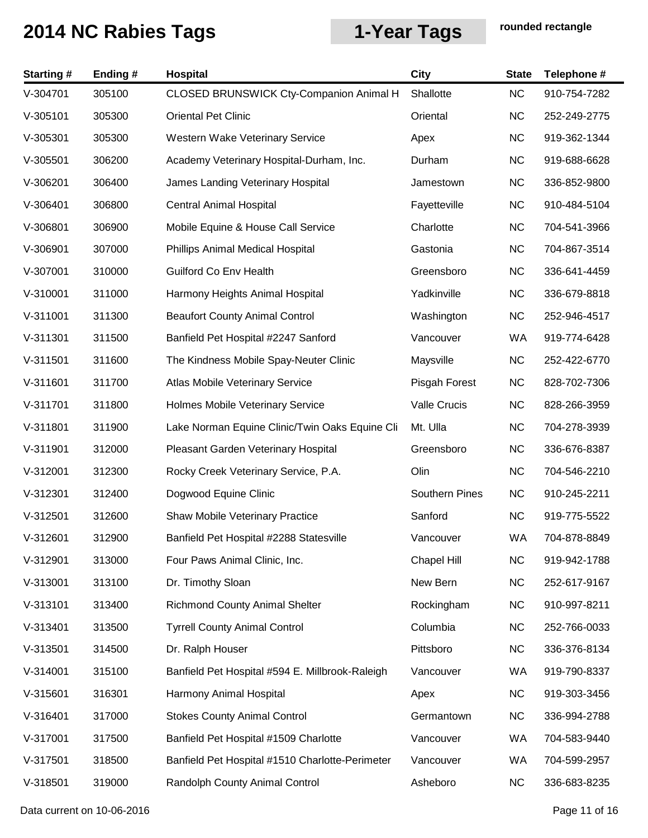| <b>Starting#</b> | Ending# | <b>Hospital</b>                                 | <b>City</b>           | <b>State</b> | Telephone #  |
|------------------|---------|-------------------------------------------------|-----------------------|--------------|--------------|
| V-304701         | 305100  | CLOSED BRUNSWICK Cty-Companion Animal H         | Shallotte             | <b>NC</b>    | 910-754-7282 |
| $V-305101$       | 305300  | <b>Oriental Pet Clinic</b>                      | Oriental              | <b>NC</b>    | 252-249-2775 |
| $V-305301$       | 305300  | <b>Western Wake Veterinary Service</b>          | Apex                  | <b>NC</b>    | 919-362-1344 |
| $V-305501$       | 306200  | Academy Veterinary Hospital-Durham, Inc.        | Durham                | <b>NC</b>    | 919-688-6628 |
| V-306201         | 306400  | James Landing Veterinary Hospital               | Jamestown             | <b>NC</b>    | 336-852-9800 |
| V-306401         | 306800  | <b>Central Animal Hospital</b>                  | Fayetteville          | <b>NC</b>    | 910-484-5104 |
| V-306801         | 306900  | Mobile Equine & House Call Service              | Charlotte             | <b>NC</b>    | 704-541-3966 |
| V-306901         | 307000  | Phillips Animal Medical Hospital                | Gastonia              | <b>NC</b>    | 704-867-3514 |
| V-307001         | 310000  | Guilford Co Env Health                          | Greensboro            | <b>NC</b>    | 336-641-4459 |
| V-310001         | 311000  | Harmony Heights Animal Hospital                 | Yadkinville           | <b>NC</b>    | 336-679-8818 |
| V-311001         | 311300  | <b>Beaufort County Animal Control</b>           | Washington            | <b>NC</b>    | 252-946-4517 |
| $V-311301$       | 311500  | Banfield Pet Hospital #2247 Sanford             | Vancouver             | WA           | 919-774-6428 |
| $V-311501$       | 311600  | The Kindness Mobile Spay-Neuter Clinic          | Maysville             | <b>NC</b>    | 252-422-6770 |
| $V-311601$       | 311700  | Atlas Mobile Veterinary Service                 | Pisgah Forest         | <b>NC</b>    | 828-702-7306 |
| V-311701         | 311800  | Holmes Mobile Veterinary Service                | Valle Crucis          | <b>NC</b>    | 828-266-3959 |
| V-311801         | 311900  | Lake Norman Equine Clinic/Twin Oaks Equine Cli  | Mt. Ulla              | <b>NC</b>    | 704-278-3939 |
| V-311901         | 312000  | Pleasant Garden Veterinary Hospital             | Greensboro            | <b>NC</b>    | 336-676-8387 |
| V-312001         | 312300  | Rocky Creek Veterinary Service, P.A.            | Olin                  | <b>NC</b>    | 704-546-2210 |
| $V-312301$       | 312400  | Dogwood Equine Clinic                           | <b>Southern Pines</b> | <b>NC</b>    | 910-245-2211 |
| $V-312501$       | 312600  | Shaw Mobile Veterinary Practice                 | Sanford               | <b>NC</b>    | 919-775-5522 |
| V-312601         | 312900  | Banfield Pet Hospital #2288 Statesville         | Vancouver             | WA           | 704-878-8849 |
| V-312901         | 313000  | Four Paws Animal Clinic, Inc.                   | <b>Chapel Hill</b>    | <b>NC</b>    | 919-942-1788 |
| V-313001         | 313100  | Dr. Timothy Sloan                               | New Bern              | <b>NC</b>    | 252-617-9167 |
| V-313101         | 313400  | <b>Richmond County Animal Shelter</b>           | Rockingham            | <b>NC</b>    | 910-997-8211 |
| $V-313401$       | 313500  | <b>Tyrrell County Animal Control</b>            | Columbia              | <b>NC</b>    | 252-766-0033 |
| $V-313501$       | 314500  | Dr. Ralph Houser                                | Pittsboro             | <b>NC</b>    | 336-376-8134 |
| V-314001         | 315100  | Banfield Pet Hospital #594 E. Millbrook-Raleigh | Vancouver             | WA           | 919-790-8337 |
| $V-315601$       | 316301  | Harmony Animal Hospital                         | Apex                  | <b>NC</b>    | 919-303-3456 |
| V-316401         | 317000  | <b>Stokes County Animal Control</b>             | Germantown            | <b>NC</b>    | 336-994-2788 |
| V-317001         | 317500  | Banfield Pet Hospital #1509 Charlotte           | Vancouver             | WA           | 704-583-9440 |
| $V-317501$       | 318500  | Banfield Pet Hospital #1510 Charlotte-Perimeter | Vancouver             | WA           | 704-599-2957 |
| $V-318501$       | 319000  | Randolph County Animal Control                  | Asheboro              | <b>NC</b>    | 336-683-8235 |

Data current on 10-06-2016 **Page 11 of 16**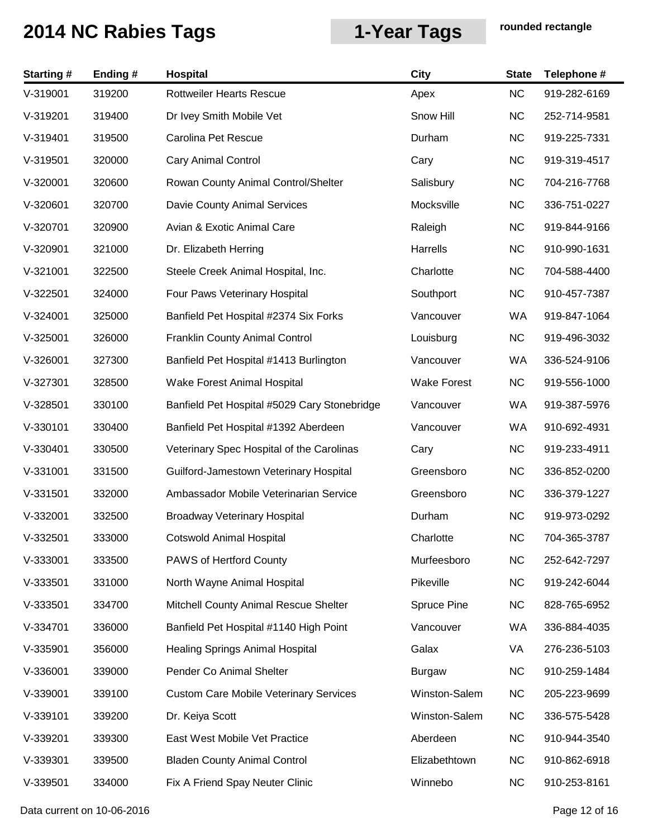| <b>Starting#</b> | Ending# | <b>Hospital</b>                               | <b>City</b>        | <b>State</b> | Telephone #  |
|------------------|---------|-----------------------------------------------|--------------------|--------------|--------------|
| V-319001         | 319200  | <b>Rottweiler Hearts Rescue</b>               | Apex               | <b>NC</b>    | 919-282-6169 |
| V-319201         | 319400  | Dr Ivey Smith Mobile Vet                      | Snow Hill          | <b>NC</b>    | 252-714-9581 |
| V-319401         | 319500  | Carolina Pet Rescue                           | Durham             | <b>NC</b>    | 919-225-7331 |
| $V-319501$       | 320000  | <b>Cary Animal Control</b>                    | Cary               | <b>NC</b>    | 919-319-4517 |
| V-320001         | 320600  | Rowan County Animal Control/Shelter           | Salisbury          | <b>NC</b>    | 704-216-7768 |
| V-320601         | 320700  | Davie County Animal Services                  | Mocksville         | <b>NC</b>    | 336-751-0227 |
| V-320701         | 320900  | Avian & Exotic Animal Care                    | Raleigh            | <b>NC</b>    | 919-844-9166 |
| V-320901         | 321000  | Dr. Elizabeth Herring                         | Harrells           | <b>NC</b>    | 910-990-1631 |
| $V-321001$       | 322500  | Steele Creek Animal Hospital, Inc.            | Charlotte          | <b>NC</b>    | 704-588-4400 |
| $V-322501$       | 324000  | Four Paws Veterinary Hospital                 | Southport          | NC           | 910-457-7387 |
| $V-324001$       | 325000  | Banfield Pet Hospital #2374 Six Forks         | Vancouver          | WA           | 919-847-1064 |
| $V-325001$       | 326000  | <b>Franklin County Animal Control</b>         | Louisburg          | NC           | 919-496-3032 |
| V-326001         | 327300  | Banfield Pet Hospital #1413 Burlington        | Vancouver          | WA           | 336-524-9106 |
| $V-327301$       | 328500  | Wake Forest Animal Hospital                   | <b>Wake Forest</b> | <b>NC</b>    | 919-556-1000 |
| $V-328501$       | 330100  | Banfield Pet Hospital #5029 Cary Stonebridge  | Vancouver          | WA           | 919-387-5976 |
| $V-330101$       | 330400  | Banfield Pet Hospital #1392 Aberdeen          | Vancouver          | WA           | 910-692-4931 |
| $V-330401$       | 330500  | Veterinary Spec Hospital of the Carolinas     | Cary               | <b>NC</b>    | 919-233-4911 |
| V-331001         | 331500  | Guilford-Jamestown Veterinary Hospital        | Greensboro         | <b>NC</b>    | 336-852-0200 |
| $V-331501$       | 332000  | Ambassador Mobile Veterinarian Service        | Greensboro         | <b>NC</b>    | 336-379-1227 |
| V-332001         | 332500  | <b>Broadway Veterinary Hospital</b>           | Durham             | <b>NC</b>    | 919-973-0292 |
| $V-332501$       | 333000  | <b>Cotswold Animal Hospital</b>               | Charlotte          | NC.          | 704-365-3787 |
| $V-333001$       | 333500  | <b>PAWS of Hertford County</b>                | Murfeesboro        | <b>NC</b>    | 252-642-7297 |
| $V-333501$       | 331000  | North Wayne Animal Hospital                   | Pikeville          | <b>NC</b>    | 919-242-6044 |
| $V-333501$       | 334700  | Mitchell County Animal Rescue Shelter         | Spruce Pine        | NC           | 828-765-6952 |
| V-334701         | 336000  | Banfield Pet Hospital #1140 High Point        | Vancouver          | WA           | 336-884-4035 |
| $V-335901$       | 356000  | <b>Healing Springs Animal Hospital</b>        | Galax              | VA           | 276-236-5103 |
| $V-336001$       | 339000  | Pender Co Animal Shelter                      | <b>Burgaw</b>      | <b>NC</b>    | 910-259-1484 |
| V-339001         | 339100  | <b>Custom Care Mobile Veterinary Services</b> | Winston-Salem      | <b>NC</b>    | 205-223-9699 |
| V-339101         | 339200  | Dr. Keiya Scott                               | Winston-Salem      | <b>NC</b>    | 336-575-5428 |
| V-339201         | 339300  | East West Mobile Vet Practice                 | Aberdeen           | <b>NC</b>    | 910-944-3540 |
| $V-339301$       | 339500  | <b>Bladen County Animal Control</b>           | Elizabethtown      | <b>NC</b>    | 910-862-6918 |
| V-339501         | 334000  | Fix A Friend Spay Neuter Clinic               | Winnebo            | <b>NC</b>    | 910-253-8161 |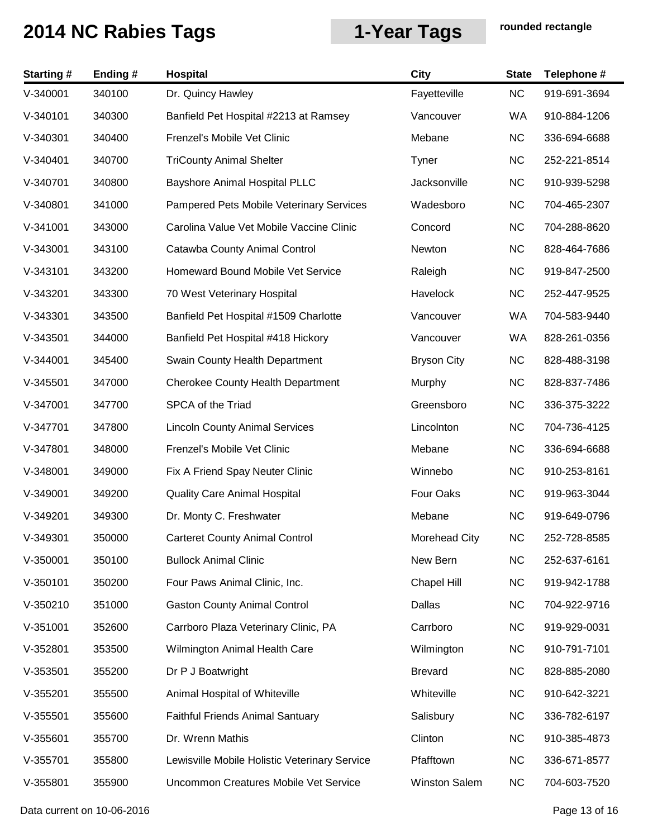| <b>Starting#</b> | Ending# | <b>Hospital</b>                               | <b>City</b>          | <b>State</b> | Telephone #  |
|------------------|---------|-----------------------------------------------|----------------------|--------------|--------------|
| $V-340001$       | 340100  | Dr. Quincy Hawley                             | Fayetteville         | <b>NC</b>    | 919-691-3694 |
| $V-340101$       | 340300  | Banfield Pet Hospital #2213 at Ramsey         | Vancouver            | WA           | 910-884-1206 |
| $V-340301$       | 340400  | Frenzel's Mobile Vet Clinic                   | Mebane               | NC           | 336-694-6688 |
| $V-340401$       | 340700  | <b>TriCounty Animal Shelter</b>               | Tyner                | <b>NC</b>    | 252-221-8514 |
| V-340701         | 340800  | <b>Bayshore Animal Hospital PLLC</b>          | Jacksonville         | <b>NC</b>    | 910-939-5298 |
| V-340801         | 341000  | Pampered Pets Mobile Veterinary Services      | Wadesboro            | <b>NC</b>    | 704-465-2307 |
| $V-341001$       | 343000  | Carolina Value Vet Mobile Vaccine Clinic      | Concord              | <b>NC</b>    | 704-288-8620 |
| $V-343001$       | 343100  | Catawba County Animal Control                 | Newton               | <b>NC</b>    | 828-464-7686 |
| $V-343101$       | 343200  | Homeward Bound Mobile Vet Service             | Raleigh              | NC           | 919-847-2500 |
| $V-343201$       | 343300  | 70 West Veterinary Hospital                   | Havelock             | <b>NC</b>    | 252-447-9525 |
| $V-343301$       | 343500  | Banfield Pet Hospital #1509 Charlotte         | Vancouver            | WA           | 704-583-9440 |
| $V-343501$       | 344000  | Banfield Pet Hospital #418 Hickory            | Vancouver            | WA           | 828-261-0356 |
| $V-344001$       | 345400  | Swain County Health Department                | <b>Bryson City</b>   | <b>NC</b>    | 828-488-3198 |
| $V-345501$       | 347000  | <b>Cherokee County Health Department</b>      | Murphy               | <b>NC</b>    | 828-837-7486 |
| V-347001         | 347700  | SPCA of the Triad                             | Greensboro           | <b>NC</b>    | 336-375-3222 |
| V-347701         | 347800  | <b>Lincoln County Animal Services</b>         | Lincolnton           | <b>NC</b>    | 704-736-4125 |
| V-347801         | 348000  | Frenzel's Mobile Vet Clinic                   | Mebane               | <b>NC</b>    | 336-694-6688 |
| $V-348001$       | 349000  | Fix A Friend Spay Neuter Clinic               | Winnebo              | <b>NC</b>    | 910-253-8161 |
| $V-349001$       | 349200  | <b>Quality Care Animal Hospital</b>           | Four Oaks            | <b>NC</b>    | 919-963-3044 |
| V-349201         | 349300  | Dr. Monty C. Freshwater                       | Mebane               | <b>NC</b>    | 919-649-0796 |
| $V - 349301$     | 350000  | <b>Carteret County Animal Control</b>         | Morehead City        | NC.          | 252-728-8585 |
| $V-350001$       | 350100  | <b>Bullock Animal Clinic</b>                  | New Bern             | <b>NC</b>    | 252-637-6161 |
| $V-350101$       | 350200  | Four Paws Animal Clinic, Inc.                 | Chapel Hill          | NC           | 919-942-1788 |
| $V-350210$       | 351000  | <b>Gaston County Animal Control</b>           | Dallas               | <b>NC</b>    | 704-922-9716 |
| $V-351001$       | 352600  | Carrboro Plaza Veterinary Clinic, PA          | Carrboro             | <b>NC</b>    | 919-929-0031 |
| $V-352801$       | 353500  | Wilmington Animal Health Care                 | Wilmington           | <b>NC</b>    | 910-791-7101 |
| $V-353501$       | 355200  | Dr P J Boatwright                             | <b>Brevard</b>       | <b>NC</b>    | 828-885-2080 |
| $V-355201$       | 355500  | Animal Hospital of Whiteville                 | Whiteville           | <b>NC</b>    | 910-642-3221 |
| $V-355501$       | 355600  | <b>Faithful Friends Animal Santuary</b>       | Salisbury            | <b>NC</b>    | 336-782-6197 |
| $V-355601$       | 355700  | Dr. Wrenn Mathis                              | Clinton              | <b>NC</b>    | 910-385-4873 |
| $V-355701$       | 355800  | Lewisville Mobile Holistic Veterinary Service | Pfafftown            | <b>NC</b>    | 336-671-8577 |
| $V-355801$       | 355900  | Uncommon Creatures Mobile Vet Service         | <b>Winston Salem</b> | <b>NC</b>    | 704-603-7520 |

Data current on 10-06-2016 **Page 13 of 16**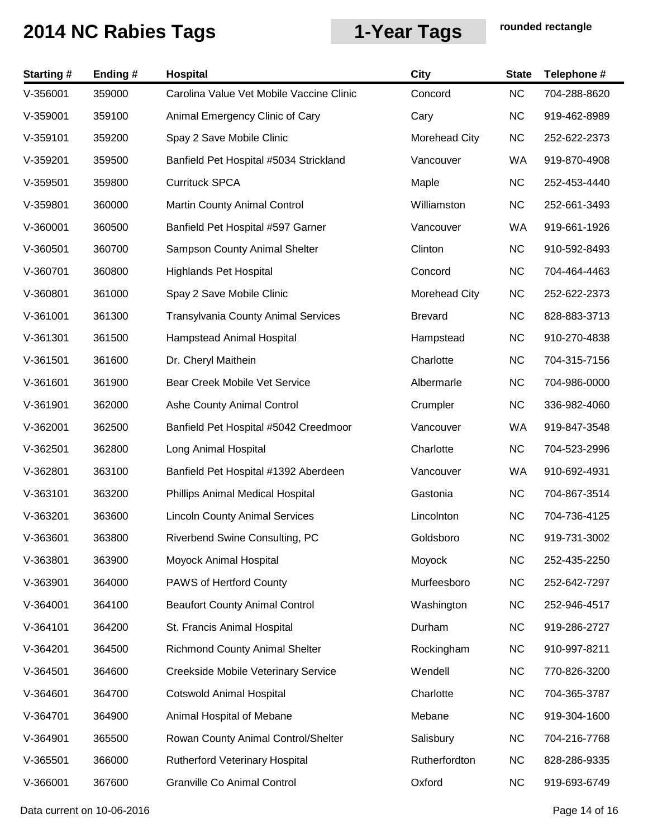| <b>Starting#</b> | Ending# | Hospital                                   | <b>City</b>    | <b>State</b> | Telephone #  |
|------------------|---------|--------------------------------------------|----------------|--------------|--------------|
| $V-356001$       | 359000  | Carolina Value Vet Mobile Vaccine Clinic   | Concord        | <b>NC</b>    | 704-288-8620 |
| $V-359001$       | 359100  | Animal Emergency Clinic of Cary            | Cary           | <b>NC</b>    | 919-462-8989 |
| $V-359101$       | 359200  | Spay 2 Save Mobile Clinic                  | Morehead City  | <b>NC</b>    | 252-622-2373 |
| V-359201         | 359500  | Banfield Pet Hospital #5034 Strickland     | Vancouver      | WA           | 919-870-4908 |
| $V-359501$       | 359800  | <b>Currituck SPCA</b>                      | Maple          | <b>NC</b>    | 252-453-4440 |
| V-359801         | 360000  | Martin County Animal Control               | Williamston    | <b>NC</b>    | 252-661-3493 |
| V-360001         | 360500  | Banfield Pet Hospital #597 Garner          | Vancouver      | WA           | 919-661-1926 |
| V-360501         | 360700  | Sampson County Animal Shelter              | Clinton        | <b>NC</b>    | 910-592-8493 |
| V-360701         | 360800  | <b>Highlands Pet Hospital</b>              | Concord        | <b>NC</b>    | 704-464-4463 |
| V-360801         | 361000  | Spay 2 Save Mobile Clinic                  | Morehead City  | <b>NC</b>    | 252-622-2373 |
| V-361001         | 361300  | <b>Transylvania County Animal Services</b> | <b>Brevard</b> | <b>NC</b>    | 828-883-3713 |
| V-361301         | 361500  | Hampstead Animal Hospital                  | Hampstead      | <b>NC</b>    | 910-270-4838 |
| $V-361501$       | 361600  | Dr. Cheryl Maithein                        | Charlotte      | <b>NC</b>    | 704-315-7156 |
| $V-361601$       | 361900  | Bear Creek Mobile Vet Service              | Albermarle     | <b>NC</b>    | 704-986-0000 |
| V-361901         | 362000  | Ashe County Animal Control                 | Crumpler       | <b>NC</b>    | 336-982-4060 |
| V-362001         | 362500  | Banfield Pet Hospital #5042 Creedmoor      | Vancouver      | WA           | 919-847-3548 |
| V-362501         | 362800  | Long Animal Hospital                       | Charlotte      | <b>NC</b>    | 704-523-2996 |
| V-362801         | 363100  | Banfield Pet Hospital #1392 Aberdeen       | Vancouver      | WA           | 910-692-4931 |
| V-363101         | 363200  | Phillips Animal Medical Hospital           | Gastonia       | <b>NC</b>    | 704-867-3514 |
| V-363201         | 363600  | <b>Lincoln County Animal Services</b>      | Lincolnton     | <b>NC</b>    | 704-736-4125 |
| V-363601         | 363800  | Riverbend Swine Consulting, PC             | Goldsboro      | <b>NC</b>    | 919-731-3002 |
| V-363801         | 363900  | Moyock Animal Hospital                     | Moyock         | <b>NC</b>    | 252-435-2250 |
| V-363901         | 364000  | PAWS of Hertford County                    | Murfeesboro    | <b>NC</b>    | 252-642-7297 |
| $V-364001$       | 364100  | <b>Beaufort County Animal Control</b>      | Washington     | <b>NC</b>    | 252-946-4517 |
| $V-364101$       | 364200  | St. Francis Animal Hospital                | Durham         | <b>NC</b>    | 919-286-2727 |
| $V-364201$       | 364500  | <b>Richmond County Animal Shelter</b>      | Rockingham     | <b>NC</b>    | 910-997-8211 |
| $V-364501$       | 364600  | Creekside Mobile Veterinary Service        | Wendell        | <b>NC</b>    | 770-826-3200 |
| $V-364601$       | 364700  | <b>Cotswold Animal Hospital</b>            | Charlotte      | <b>NC</b>    | 704-365-3787 |
| V-364701         | 364900  | Animal Hospital of Mebane                  | Mebane         | <b>NC</b>    | 919-304-1600 |
| V-364901         | 365500  | Rowan County Animal Control/Shelter        | Salisbury      | <b>NC</b>    | 704-216-7768 |
| $V-365501$       | 366000  | <b>Rutherford Veterinary Hospital</b>      | Rutherfordton  | <b>NC</b>    | 828-286-9335 |
| V-366001         | 367600  | <b>Granville Co Animal Control</b>         | Oxford         | <b>NC</b>    | 919-693-6749 |

Data current on 10-06-2016 **Page 14 of 16**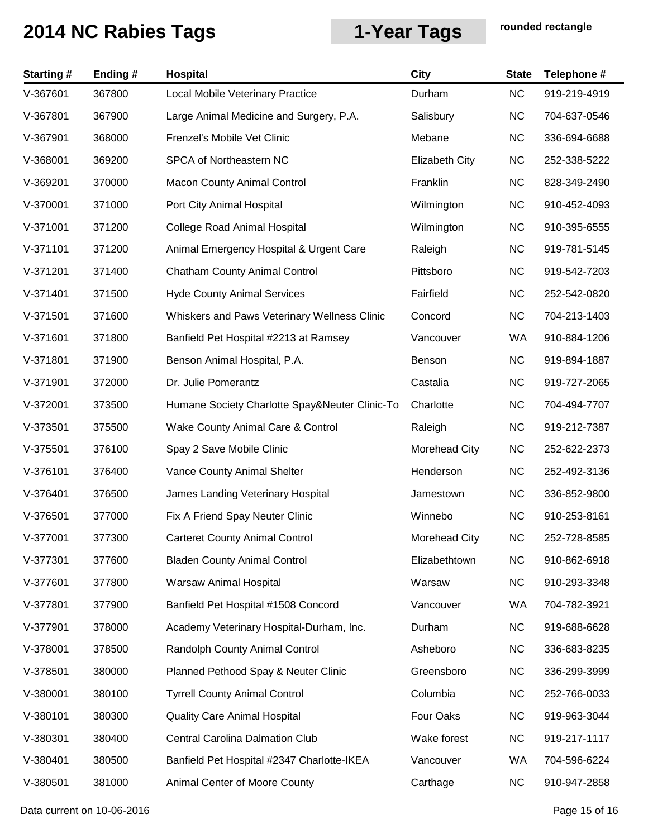| <b>Starting#</b> | Ending# | Hospital                                       | <b>City</b>           | <b>State</b> | Telephone #  |
|------------------|---------|------------------------------------------------|-----------------------|--------------|--------------|
| V-367601         | 367800  | Local Mobile Veterinary Practice               | Durham                | <b>NC</b>    | 919-219-4919 |
| V-367801         | 367900  | Large Animal Medicine and Surgery, P.A.        | Salisbury             | <b>NC</b>    | 704-637-0546 |
| V-367901         | 368000  | Frenzel's Mobile Vet Clinic                    | Mebane                | <b>NC</b>    | 336-694-6688 |
| V-368001         | 369200  | SPCA of Northeastern NC                        | <b>Elizabeth City</b> | <b>NC</b>    | 252-338-5222 |
| V-369201         | 370000  | <b>Macon County Animal Control</b>             | Franklin              | <b>NC</b>    | 828-349-2490 |
| V-370001         | 371000  | Port City Animal Hospital                      | Wilmington            | <b>NC</b>    | 910-452-4093 |
| V-371001         | 371200  | College Road Animal Hospital                   | Wilmington            | <b>NC</b>    | 910-395-6555 |
| $V-371101$       | 371200  | Animal Emergency Hospital & Urgent Care        | Raleigh               | <b>NC</b>    | 919-781-5145 |
| $V-371201$       | 371400  | <b>Chatham County Animal Control</b>           | Pittsboro             | <b>NC</b>    | 919-542-7203 |
| $V-371401$       | 371500  | <b>Hyde County Animal Services</b>             | Fairfield             | <b>NC</b>    | 252-542-0820 |
| $V-371501$       | 371600  | Whiskers and Paws Veterinary Wellness Clinic   | Concord               | <b>NC</b>    | 704-213-1403 |
| V-371601         | 371800  | Banfield Pet Hospital #2213 at Ramsey          | Vancouver             | WA           | 910-884-1206 |
| V-371801         | 371900  | Benson Animal Hospital, P.A.                   | Benson                | <b>NC</b>    | 919-894-1887 |
| V-371901         | 372000  | Dr. Julie Pomerantz                            | Castalia              | <b>NC</b>    | 919-727-2065 |
| V-372001         | 373500  | Humane Society Charlotte Spay&Neuter Clinic-To | Charlotte             | <b>NC</b>    | 704-494-7707 |
| $V-373501$       | 375500  | Wake County Animal Care & Control              | Raleigh               | <b>NC</b>    | 919-212-7387 |
| $V-375501$       | 376100  | Spay 2 Save Mobile Clinic                      | Morehead City         | <b>NC</b>    | 252-622-2373 |
| V-376101         | 376400  | Vance County Animal Shelter                    | Henderson             | <b>NC</b>    | 252-492-3136 |
| V-376401         | 376500  | James Landing Veterinary Hospital              | Jamestown             | <b>NC</b>    | 336-852-9800 |
| $V-376501$       | 377000  | Fix A Friend Spay Neuter Clinic                | Winnebo               | <b>NC</b>    | 910-253-8161 |
| V-377001         | 377300  | <b>Carteret County Animal Control</b>          | Morehead City         | <b>NC</b>    | 252-728-8585 |
| $V-377301$       | 377600  | <b>Bladen County Animal Control</b>            | Elizabethtown         | <b>NC</b>    | 910-862-6918 |
| V-377601         | 377800  | Warsaw Animal Hospital                         | Warsaw                | <b>NC</b>    | 910-293-3348 |
| V-377801         | 377900  | Banfield Pet Hospital #1508 Concord            | Vancouver             | WA           | 704-782-3921 |
| V-377901         | 378000  | Academy Veterinary Hospital-Durham, Inc.       | Durham                | <b>NC</b>    | 919-688-6628 |
| V-378001         | 378500  | Randolph County Animal Control                 | Asheboro              | <b>NC</b>    | 336-683-8235 |
| $V-378501$       | 380000  | Planned Pethood Spay & Neuter Clinic           | Greensboro            | <b>NC</b>    | 336-299-3999 |
| V-380001         | 380100  | <b>Tyrrell County Animal Control</b>           | Columbia              | <b>NC</b>    | 252-766-0033 |
| V-380101         | 380300  | <b>Quality Care Animal Hospital</b>            | Four Oaks             | <b>NC</b>    | 919-963-3044 |
| V-380301         | 380400  | <b>Central Carolina Dalmation Club</b>         | Wake forest           | <b>NC</b>    | 919-217-1117 |
| V-380401         | 380500  | Banfield Pet Hospital #2347 Charlotte-IKEA     | Vancouver             | WA           | 704-596-6224 |
| $V-380501$       | 381000  | Animal Center of Moore County                  | Carthage              | <b>NC</b>    | 910-947-2858 |

Data current on 10-06-2016 **Page 15 of 16**